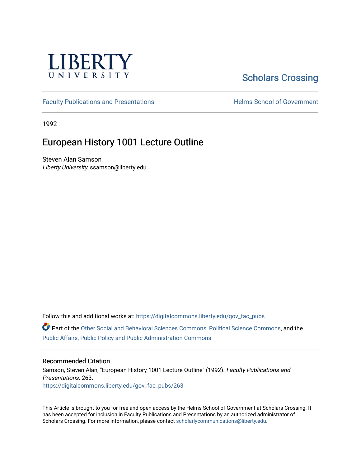

# [Scholars Crossing](https://digitalcommons.liberty.edu/)

[Faculty Publications and Presentations](https://digitalcommons.liberty.edu/gov_fac_pubs) **Exercise School of Government** 

1992

# European History 1001 Lecture Outline

Steven Alan Samson Liberty University, ssamson@liberty.edu

Follow this and additional works at: [https://digitalcommons.liberty.edu/gov\\_fac\\_pubs](https://digitalcommons.liberty.edu/gov_fac_pubs?utm_source=digitalcommons.liberty.edu%2Fgov_fac_pubs%2F263&utm_medium=PDF&utm_campaign=PDFCoverPages)

Part of the [Other Social and Behavioral Sciences Commons](http://network.bepress.com/hgg/discipline/437?utm_source=digitalcommons.liberty.edu%2Fgov_fac_pubs%2F263&utm_medium=PDF&utm_campaign=PDFCoverPages), [Political Science Commons](http://network.bepress.com/hgg/discipline/386?utm_source=digitalcommons.liberty.edu%2Fgov_fac_pubs%2F263&utm_medium=PDF&utm_campaign=PDFCoverPages), and the [Public Affairs, Public Policy and Public Administration Commons](http://network.bepress.com/hgg/discipline/393?utm_source=digitalcommons.liberty.edu%2Fgov_fac_pubs%2F263&utm_medium=PDF&utm_campaign=PDFCoverPages)

#### Recommended Citation

Samson, Steven Alan, "European History 1001 Lecture Outline" (1992). Faculty Publications and Presentations. 263. [https://digitalcommons.liberty.edu/gov\\_fac\\_pubs/263](https://digitalcommons.liberty.edu/gov_fac_pubs/263?utm_source=digitalcommons.liberty.edu%2Fgov_fac_pubs%2F263&utm_medium=PDF&utm_campaign=PDFCoverPages)

This Article is brought to you for free and open access by the Helms School of Government at Scholars Crossing. It has been accepted for inclusion in Faculty Publications and Presentations by an authorized administrator of Scholars Crossing. For more information, please contact [scholarlycommunications@liberty.edu.](mailto:scholarlycommunications@liberty.edu)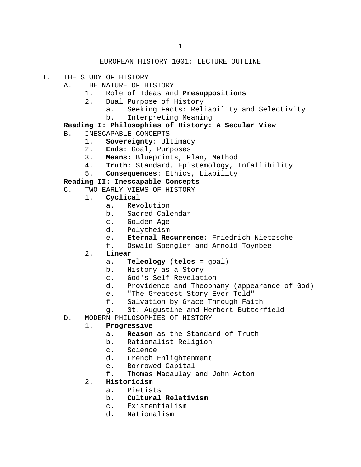## EUROPEAN HISTORY 1001: LECTURE OUTLINE

I. THE STUDY OF HISTORY

# A. THE NATURE OF HISTORY<br>1. Role of Ideas and

- 1. Role of Ideas and **Presuppositions**
- 2. Dual Purpose of History
	- a. Seeking Facts: Reliability and Selectivity<br>b. Interpreting Meaning
	- b. Interpreting Meaning
- **Reading I: Philosophies of History: A Secular View**
- B. INESCAPABLE CONCEPTS<br>1. Sovereignty: Ul
	- 1. **Sovereignty**: Ultimacy<br>2. Ends: Goal, Purposes
	- 2. **Ends**: Goal, Purposes
	- 3. **Means**: Blueprints, Plan, Method
	- Truth: Standard, Epistemology, Infallibility
	- 5. **Consequences**: Ethics, Liability

#### **Reading II: Inescapable Concepts**

- C. TWO EARLY VIEWS OF HISTORY<br>1. **Cyclical** 
	- 1. **Cyclical**
		- a. Revolution<br>b. Sacred Cale
		- b. Sacred Calendar<br>c. Golden Age
		-
		- c. Golden Age<br>d. Polvtheism Polytheism
		- e. **Eternal Recurrence**: Friedrich Nietzsche<br>f. Oswald Spengler and Arnold Toynbee
		- Oswald Spengler and Arnold Toynbee
	- 2. **Linear**
		- a. **Teleology** (**telos** = goal)
		- b. History as a Story
		-
		- c. God's Self-Revelation<br>d. Providence and Theopha Providence and Theophany (appearance of God)
		- e. "The Greatest Story Ever Told"<br>f. Salvation by Grace Through Fai
		- Salvation by Grace Through Faith
		- g. St. Augustine and Herbert Butterfield
- D. MODERN PHILOSOPHIES OF HISTORY<br>1. **Progressive**

#### 1. **Progressive**

- a. **Reason** as the Standard of Truth
- b. Rationalist Religion<br>c. Science
- c. Science<br>d. French B
- French Enlightenment
- e. Borrowed Capital<br>f. Thomas Macaulay
- Thomas Macaulay and John Acton
- 2. **Historicism**
	- a. Pietists<br>b. **Cultural**
	- b. **Cultural Relativism**
	- c. Existentialism<br>d. Nationalism
	- Nationalism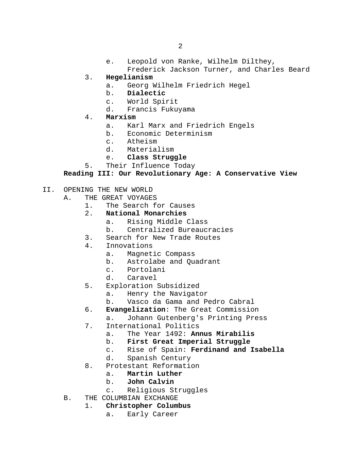e. Leopold von Ranke, Wilhelm Dilthey,

Frederick Jackson Turner, and Charles Beard

- 3. **Hegelianism**
	- a. Georg Wilhelm Friedrich Hegel<br>b. Dialectic
	- b. **Dialectic**
	- c. World Spirit
	- d. Francis Fukuyama
- 4. **Marxism**
	- a. Karl Marx and Friedrich Engels<br>b. Economic Determinism
	- b. Economic Determinism
	- c. Atheism<br>d. Material
	- Materialism
	- e. **Class Struggle**
- 5. Their Influence Today

#### **Reading III: Our Revolutionary Age: A Conservative View**

- II. OPENING THE NEW WORLD<br>A. THE GREAT VOYAGE.
	- THE GREAT VOYAGES<br>1. The Search f
		- 1. The Search for Causes<br>2. **National Monarchies**
		- **National Monarchies**<br>a. Rising Middle
			- a. Rising Middle Class<br>b. Centralized Bureauc
			- b. Centralized Bureaucracies
		- 3. Search for New Trade Routes
		- 4. Innovations
			- a. Magnetic Compass
			- b. Astrolabe and Quadrant<br>c. Portolani
			- c. Portolani<br>d. Caravel
			- Caravel
		- 5. Exploration Subsidized
			- a. Henry the Navigator<br>b. Vasco da Gama and P
			- Vasco da Gama and Pedro Cabral
		- 6. **Evangelization**: The Great Commission
			- a. Johann Gutenberg's Printing Press
		- 7. International Politics<br>a. The Year 1492: An:
			- a. The Year 1492: **Annus Mirabilis**
			- b. **First Great Imperial Struggle**<br>c. Rise of Spain: **Ferdinand and**:
			- c. Rise of Spain: **Ferdinand and Isabella**
			- Spanish Century
		- 8. Protestant Reformation<br>a. **Martin Luther** 
			- a. **Martin Luther**
			- b. **John Calvin**
			- c. Religious Struggles
	- B. THE COLUMBIAN EXCHANGE
		- 1. **Christopher Columbus**
			- a. Early Career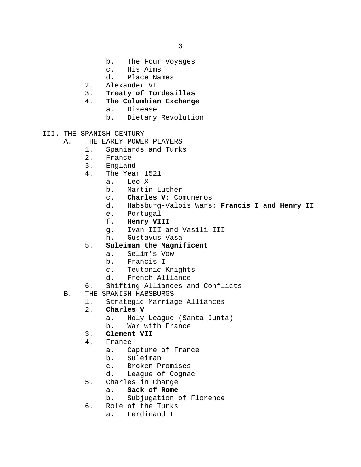- b. The Four Voyages<br>c. His Aims
- c. His Aims<br>d. Place Nam
- Place Names
- 2. Alexander VI<br>3. Treaty of To:
- 3. **Treaty of Tordesillas**
- 4. **The Columbian Exchange**
	- a. Disease<br>b. Dietary
	- Dietary Revolution
- III. THE SPANISH CENTURY
	- A. THE EARLY POWER PLAYERS<br>1. Spaniards and Turk
		- 1. Spaniards and Turks<br>2. France
			-
			- 2. France<br>3. Englan 3. England<br>4. The Year
			- The Year 1521
				- a. Leo<mark>X</mark><br>b. Martin
				- b. Martin Luther<br>c. **Charles V:** Com
				- Charles V: Comuneros
				- d. Habsburg-Valois Wars: **Francis I** and **Henry II**
				- e. Portugal<br>f. **Henry VI**
				-
				- f. **Henry VIII** Ivan III and Vasili III
				- h. Gustavus Vasa
			- 5. **Suleiman the Magnificent**
				- a. Selim's Vow
				-
				- b. Francis I<br>c. Teutonic I Teutonic Knights
				- d. French Alliance
			- 6. Shifting Alliances and Conflicts
	- B. THE SPANISH HABSBURGS
		- 1. Strategic Marriage Alliances<br>2. Charles V
		- 2. **Charles V**
			- a. Holy League (Santa Junta)<br>b. War with France
			- War with France

# 3. **Clement VII**

- - France<br>a. Ca Capture of France
	- b. Suleiman
	- c. Broken Promises<br>d. League of Cogna
	- League of Cognac
- 5. Charles in Charge<br>a. **Sack of Rome** 
	- Sack of Rome
	- b. Subjugation of Florence
- 6. Role of the Turks
	- a. Ferdinand I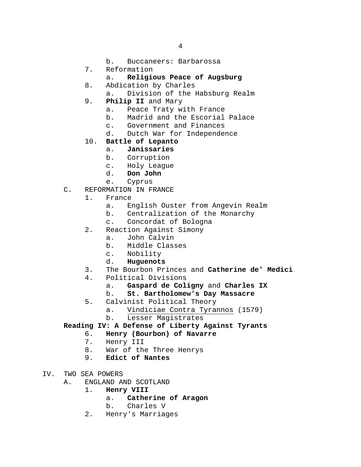- b. Buccaneers: Barbarossa
- 7. Reformation<br>a. **Religion** 
	- a. **Religious Peace of Augsburg**
- 8. Abdication by Charles
	- a. Division of the Habsburg Realm
- 9. **Philip II** and Mary
	- a. Peace Traty with France<br>b. Madrid and the Escorial
	- b. Madrid and the Escorial Palace<br>c. Government and Finances
	- c. Government and Finances<br>d. Dutch War for Independer
		- Dutch War for Independence
- 10. **Battle of Lepanto**
	- a. **Janissaries**
	- Corruption
	- c. Holy League<br>d. **Don John**
	- Don John
	- e. Cyprus
- C. REFORMATION IN FRANCE<br>1. France
	- 1. France
		- a. English Ouster from Angevin Realm<br>b. Centralization of the Monarchy
		- b. Centralization of the Monarchy<br>c. Concordat of Bologna
		- Concordat of Bologna
	- 2. Reaction Against Simony
		- a. John Calvin
		- b. Middle Classes
		- c. Nobility<br>d. **Huquenots**
		- d. **Huguenots**
	- 3. The Bourbon Princes and **Catherine de' Medici**
	- Political Divisions<br>a. Gaspard de Col.
		- a. **Gaspard de Coligny** and **Charles IX**

### b. **St. Bartholomew's Day Massacre**

- 5. Calvinist Political Theory
	- a. Vindiciae Contra Tyrannos (1579)<br>b. Lesser Magistrates
	- b. Lesser Magistrates

**Reading IV: A Defense of Liberty Against Tyrants**

- 6. **Henry (Bourbon) of Navarre**
- 7. Henry III<br>8. War of the
- 8. War of the Three Henrys<br>9. Edict of Nantes
- 9. **Edict of Nantes**
- IV. TWO SEA POWERS<br>A. ENGLAND A
	- ENGLAND AND SCOTLAND<br>1. **Henry VIII** 
		- 1. **Henry VIII**
			- a. **Catherine of Aragon**
			- Charles V
		- 2. Henry's Marriages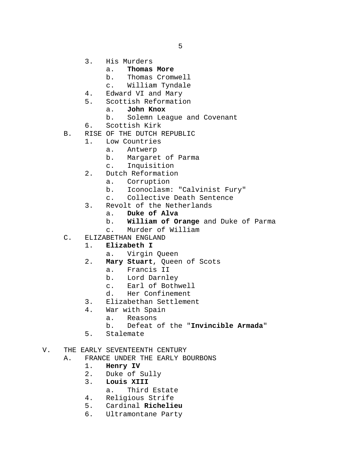- 3. His Murders
	- a. **Thomas More**
	- Thomas Cromwell
	- c. William Tyndale
- 
- 4. Edward VI and Mary<br>5. Scottish Reformati 5. Scottish Reformation
	- a. **John Knox**
	- b. Solemn League and Covenant
- 6. Scottish Kirk
- B. RISE OF THE DUTCH REPUBLIC
	- 1. Low Countries<br>a. Antwerp
		- **Antwerp**
		- b. Margaret of Parma
		- c. Inquisition
		- 2. Dutch Reformation
			- a. Corruption<br>b. Iconoclasm
			- b. Iconoclasm: "Calvinist Fury"<br>c. Collective Death Sentence
			- Collective Death Sentence
		- 3. Revolt of the Netherlands<br>a. Duke of Alva
			- a. **Duke of Alva**
			- b. **William of Orange** and Duke of Parma
			- Murder of William
- C. ELIZABETHAN ENGLAND
	- 1. **Elizabeth I**
		- a. Virgin Queen
	- 2. **Mary Stuart**, Queen of Scots
		- a. Francis II<br>b. Lord Darnle
		- b. Lord Darnley<br>c. Earl of Both
		- c. Earl of Bothwell<br>d. Her Confinement
		- Her Confinement
	- 3. Elizabethan Settlement<br>4. War with Spain
		- War with Spain<br>a. Reasons
			- a. Reasons<br>b. Defeat
				- b. Defeat of the "**Invincible Armada**"
	- 5. Stalemate

#### V. THE EARLY SEVENTEENTH CENTURY

- A. FRANCE UNDER THE EARLY BOURBONS<br>1. **Henry IV** 
	- 1. **Henry IV**
	- 2. Duke of Sully<br>3. Louis XIII
	- 3. **Louis XIII**
		- a. Third Estate
	- 4. Religious Strife<br>5. Cardinal Richeli
	- 5. Cardinal **Richelieu**
	- 6. Ultramontane Party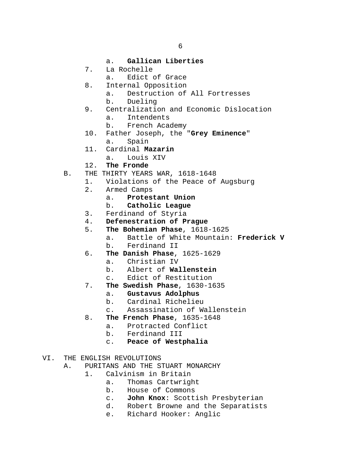- a. **Gallican Liberties**
- 7. La Rochelle<br>a. Edict
	- Edict of Grace
- 8. Internal Opposition
	- a. Destruction of All Fortresses
	- b. Dueling
- 9. Centralization and Economic Dislocation<br>a. Intendents
	- a. Intendents<br>b. French Aca b. French Academy
- 10. Father Joseph, the "**Grey Eminence**"
	- a. Spain
- 11. Cardinal **Mazarin**
	- a. Louis XIV
- 12. **The Fronde**
- B. THE THIRTY YEARS WAR, 1618-1648
	- 1. Violations of the Peace of Augsburg<br>2. Armed Camps
		- Armed Camps<br>a. Protes
			- a. **Protestant Union**
			- b. **Catholic League**
		- 3. Ferdinand of Styria<br>4. **Defenestration of P**
		- 4. **Defenestration of Prague**
		- **The Bohemian Phase**, 1618-1625<br>a. Battle of White Mountain
			- Battle of White Mountain: Frederick V
			- b. Ferdinand II
		- 6. **The Danish Phase**, 1625-1629
			- a. Christian IV<br>b. Albert of Wa
			- b. Albert of **Wallenstein**
			- c. Edict of Restitution
		- 7. **The Swedish Phase**, 1630-1635
			- a. **Gustavus Adolphus**
			- b. Cardinal Richelieu
			- c. Assassination of Wallenstein
		- 8. **The French Phase**, 1635-1648
			- a. Protracted Conflict<br>b. Ferdinand III
			- b. Ferdinand III
			- c. **Peace of Westphalia**
- VI. THE ENGLISH REVOLUTIONS
	- A. PURITANS AND THE STUART MONARCHY<br>1. Calvinism in Britain
		- Calvinism in Britain<br>a. Thomas Cartwrigh
			- a. Thomas Cartwright<br>b. House of Commons
			- b. House of Commons<br>c. John Knox: Scott.
			- c. **John Knox**: Scottish Presbyterian
			- Robert Browne and the Separatists
			- e. Richard Hooker: Anglic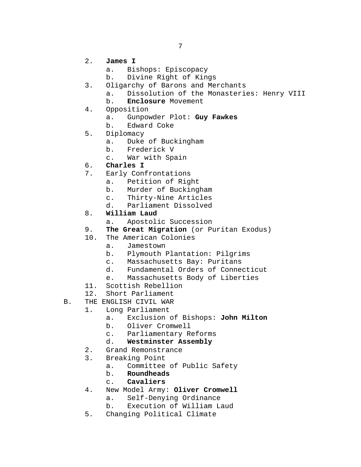- 2. **James I**
	- a. Bishops: Episcopacy<br>b. Divine Right of Kin
	- b. Divine Right of Kings
- 3. Oligarchy of Barons and Merchants<br>a. Dissolution of the Monasteri
	- a. Dissolution of the Monasteries: Henry VIII<br>b. Enclosure Movement
		- b. **Enclosure** Movement
- 4. Opposition<br>a. Gunpoy
	- a. Gunpowder Plot: **Guy Fawkes**
	- b. Edward Coke
- 5. Diplomacy
	- a. Duke of Buckingham<br>b. Frederick V
	- Frederick V
	- c. War with Spain
- 6. **Charles I**
- 7. Early Confrontations
	- a. Petition of Right<br>b. Murder of Bucking
		- b. Murder of Buckingham<br>c. Thirty-Nine Articles
		- c. Thirty-Nine Articles<br>d. Parliament Dissolved
		- Parliament Dissolved
- 8. **William Laud**
	- a. Apostolic Succession
- 9. **The Great Migration** (or Puritan Exodus)
- 10. The American Colonies
	- a. Jamestown
	- b. Plymouth Plantation: Pilgrims
	-
	- c. Massachusetts Bay: Puritans Fundamental Orders of Connecticut
	- e. Massachusetts Body of Liberties
- 11. Scottish Rebellion<br>12. Short Parliament
- Short Parliament
- B. THE ENGLISH CIVIL WAR
	- 1. Long Parliament<br>a. Exclusion
		- a. Exclusion of Bishops: **John Milton**
		- b. Oliver Cromwell<br>c. Parliamentary R
		- c. Parliamentary Reforms<br>d. Westminster Assembly
		- d. **Westminster Assembly**
	- 2. Grand Remonstrance
	- 3. Breaking Point
		- a. Committee of Public Safety<br>b. **Roundheads**
		- b. **Roundheads**
		- c. **Cavaliers**
	- 4. New Model Army: **Oliver Cromwell**
		- a. Self-Denying Ordinance<br>b. Execution of William La
		- Execution of William Laud
	- 5. Changing Political Climate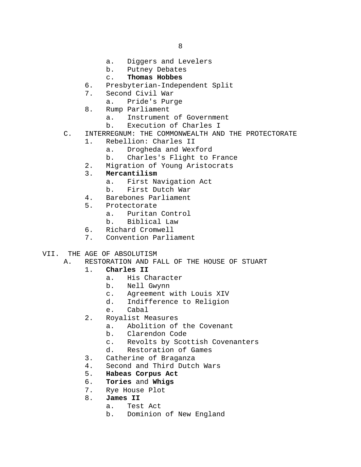- a. Diggers and Levelers<br>b. Putney Debates
- b. Putney Debates<br>c. Thomas Hobbes

## c. **Thomas Hobbes**

- 6. Presbyterian-Independent Split<br>7. Second Civil War
- Second Civil War
	- a. Pride's Purge
- 8. Rump Parliament<br>a. Instrument
	- a. Instrument of Government<br>b. Execution of Charles I
	- Execution of Charles I
- C. INTERREGNUM: THE COMMONWEALTH AND THE PROTECTORATE
	- 1. Rebellion: Charles II
		- a. Drogheda and Wexford
		- b. Charles's Flight to France
	- 2. Migration of Young Aristocrats<br>3. **Mercantilism**
	- **Mercantilism**<br>a. First Na
		- a. First Navigation Act<br>b. First Dutch War
		- b. First Dutch War
	- 4. Barebones Parliament<br>5. Protectorate
	- Protectorate<br>a. Puritan
		- a. Puritan Control<br>b. Biblical Law
		- b. Biblical Law
	- 6. Richard Cromwell
	- 7. Convention Parliament
- VII. THE AGE OF ABSOLUTISM<br>A. RESTORATION AND FI
	- RESTORATION AND FALL OF THE HOUSE OF STUART 1. Charles II

### 1. **Charles II**

- a. His Character<br>b. Nell Gwynn
- b. Nell Gwynn
- c. Agreement with Louis XIV
- Indifference to Religion
- e. Cabal
- 2. Royalist Measures<br>a. Abolition of
	- a. Abolition of the Covenant<br>b. Clarendon Code
	- b. Clarendon Code<br>c. Revolts by Scot
	- c. Revolts by Scottish Covenanters<br>d. Restoration of Games
	- Restoration of Games
- 3. Catherine of Braganza
- 4. Second and Third Dutch Wars<br>5. **Habeas Corpus Act**
- 5. **Habeas Corpus Act**
- 6. **Tories** and **Whigs**
- 7. Rye House Plot<br>8. **James II**
- James II<br>a. Tes
	- Test Act
		- b. Dominion of New England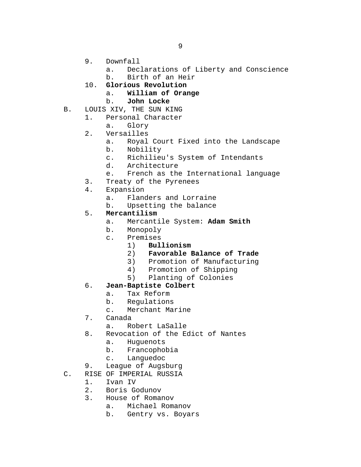- 9. Downfall<br>a. Dec.
	- a. Declarations of Liberty and Conscience<br>b. Birth of an Heir
	- b. Birth of an Heir
- 10. **Glorious Revolution**
	- a. **William of Orange**
	- b. **John Locke**
- B. LOUIS XIV, THE SUN KING<br>1. Personal Character
	- Personal Character<br>a. Glory
		- Glory
	- 2. Versailles
		- a. Royal Court Fixed into the Landscape
		- b. Nobility
		- c. Richilieu's System of Intendants<br>d. Architecture
		- Architecture
		- e. French as the International language
	- 3. Treaty of the Pyrenees<br>4. Expansion
	- Expansion<br>a. Fland
		- a. Flanders and Lorraine<br>b. Upsetting the balance
		- Upsetting the balance
	- 5. **Mercantilism**
		- a. Mercantile System: **Adam Smith**
		- b. Monopoly
		- c. Premises<br>(1) Bul
			- 1) **Bullionism**
			- 2) **Favorable Balance of Trade**
			-
			- 3) Promotion of Manufacturing<br>4) Promotion of Shipping
			- 4) Promotion of Shipping<br>5) Planting of Colonies 5) Planting of Colonies

# 6. **Jean-Baptiste Colbert**

- a. Tax Reform
- b. Regulations
- c. Merchant Marine
- 7. Canada<br>a. Ro
	- a. Robert LaSalle
- 8. Revocation of the Edict of Nantes<br>a. Huguenots
	- a. Huguenots<br>b. Francophol
	- b. Francophobia<br>c. Languedoc
	- Languedoc
- 9. League of Augsburg
- C. RISE OF IMPERIAL RUSSIA<br>1. Ivan IV
	-
	- 1. Ivan IV<br>2. Boris G
	- 2. Boris Godunov<br>3. House of Roma
		- House of Romanov<br>a. Michael Roma a. Michael Romanov<br>b. Gentry ys. Boya
			- b. Gentry vs. Boyars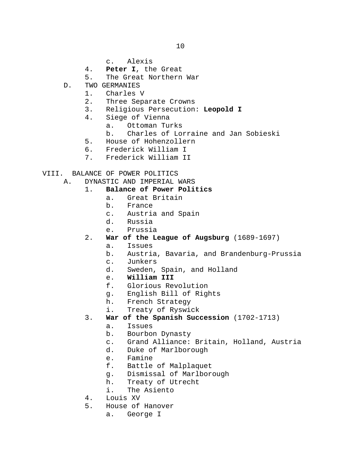10

- c. Alexis
- 4. **Peter I**, the Great
- The Great Northern War
- D. TWO GERMANIES<br>1. Charles
	- Charles V
	- 2. Three Separate Crowns
	- 3. Religious Persecution: **Leopold I**
	- Siege of Vienna<br>a. Ottoman Tu
		- a. Ottoman Turks
		- b. Charles of Lorraine and Jan Sobieski
	- 5. House of Hohenzollern<br>6. Frederick William I
	- 6. Frederick William I<br>7. Frederick William I
	- 7. Frederick William II
- VIII. BALANCE OF POWER POLITICS
	- A. DYNASTIC AND IMPERIAL WARS<br>1. Balance of Power Poli
		- 1. **Balance of Power Politics**
			- a. Great Britain<br>b. France
			- b. France<br>c. Austria
			- c. Austria and Spain<br>d. Russia
			- d. Russia
			- Prussia
		- 2. **War of the League of Augsburg** (1689-1697)
			- a. Issues
			- b. Austria, Bavaria, and Brandenburg-Prussia
			- c. Junkers<br>d. Sweden.
			- Sweden, Spain, and Holland
			- e. **William III**
			- f. Glorious Revolution
			- g. English Bill of Rights
			- h. French Strategy<br>i. Treaty of Ryswi
			- Treaty of Ryswick
		- 3. **War of the Spanish Succession** (1702-1713)
			- a. Issues
			- b. Bourbon Dynasty
			- c. Grand Alliance: Britain, Holland, Austria
			- Duke of Marlborough
			- e. Famine
			- f. Battle of Malplaquet
			- g. Dismissal of Marlborough<br>h. Treaty of Utrecht
			- h. Treaty of Utrecht<br>i. The Asiento
			- The Asiento
		- 4. Louis XV<br>5. House of
			- 5. House of Hanover
				- a. George I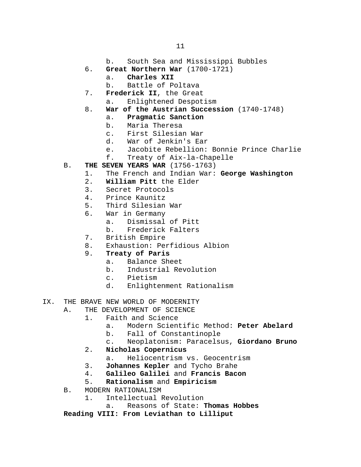- b. South Sea and Mississippi Bubbles
- 6. **Great Northern War** (1700-1721)
	- a. **Charles XII**
	- b. Battle of Poltava
- 7. **Frederick II**, the Great
	- a. Enlightened Despotism
- 8. **War of the Austrian Succession** (1740-1748)
	- a. **Pragmatic Sanction**
	- b. Maria Theresa<br>c. First Silesian
	- First Silesian War
	- d. War of Jenkin's Ear
	- e. Jacobite Rebellion: Bonnie Prince Charlie<br>f. Treaty of Aix-la-Chapelle
	- Treaty of Aix-la-Chapelle
- B. **THE SEVEN YEARS WAR** (1756-1763)<br>1. The French and Indian War:
	- 1. The French and Indian War: **George Washington**
	- 2. **William Pitt** the Elder
	- 3. Secret Protocols<br>4. Prince Kaunitz
	- 4. Prince Kaunitz<br>5. Third Silesian
	- 5. Third Silesian War<br>6. War in Germany
	- War in Germany<br>a. Dismissal
		- a. Dismissal of Pitt<br>b. Frederick Falters
		- b. Frederick Falters
	- 7. British Empire
	- 8. Exhaustion: Perfidious Albion<br>9. Treaty of Paris
	- 9. **Treaty of Paris**
		- a. Balance Sheet<br>b. Industrial Re
		- b. Industrial Revolution
		- c. Pietism<br>d. Enlighte
		- Enlightenment Rationalism
- IX. THE BRAVE NEW WORLD OF MODERNITY
	- A. THE DEVELOPMENT OF SCIENCE<br>1. Faith and Science
		- - a. Modern Scientific Method: **Peter Abelard**
			- b. Fall of Constantinople
			- c. Neoplatonism: Paracelsus, **Giordano Bruno**
			- 2. **Nicholas Copernicus**
				- a. Heliocentrism vs. Geocentrism
			- 3. **Johannes Kepler** and Tycho Brahe
			- 4. **Galileo Galilei** and **Francis Bacon**
			- 5. **Rationalism** and **Empiricism**
	- B. MODERN RATIONALISM<br>1. Intellectual
		- 1. Intellectual Revolution
			- a. Reasons of State: **Thomas Hobbes**

**Reading VIII: From Leviathan to Lilliput**

Faith and Science<br>a. Modern Scient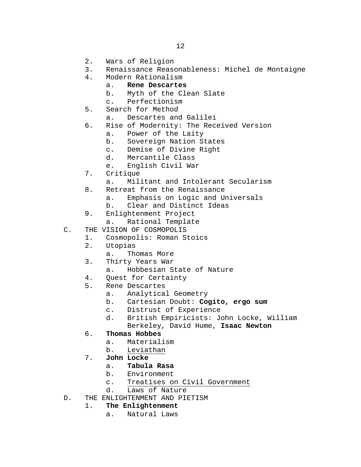- 2. Wars of Religion<br>3. Renaissance Reaso
- 3. Renaissance Reasonableness: Michel de Montaigne
- 4. Modern Rationalism
	- a. **Rene Descartes**
	- Myth of the Clean Slate
	- c. Perfectionism
- 5. Search for Method<br>a. Descartes and
	- Descartes and Galilei
- 6. Rise of Modernity: The Received Version
	- a. Power of the Laity
	- b. Sovereign Nation States<br>c. Demise of Divine Right
	- c. Demise of Divine Right<br>d. Mercantile Class
	- Mercantile Class
	- e. English Civil War
- 7. Critique
	- a. Militant and Intolerant Secularism
- 8. Retreat from the Renaissance
	- a. Emphasis on Logic and Universals
	- b. Clear and Distinct Ideas
- 9. Enlightenment Project<br>a. Rational Templat
	- Rational Template
- C. THE VISION OF COSMOPOLIS
	- 1. Cosmopolis: Roman Stoics
	- 2. Utopias
		- a. Thomas More
	- 3. Thirty Years War
		- Hobbesian State of Nature
	- 4. Quest for Certainty<br>5. Rene Descartes
	- 5. Rene Descartes
		- a. Analytical Geometry<br>b. Cartesian Doubt: Coo
		- b. Cartesian Doubt: **Cogito, ergo sum**
		- c. Distrust of Experience<br>d. British Empiricists: J
		- British Empiricists: John Locke, William Berkeley, David Hume, **Isaac Newton**
	- 6. **Thomas Hobbes**
		- a. Materialism<br>b. Leviathan
		- b. Leviathan
	- 7. **John Locke**
		- a. **Tabula Rasa**
		- b. Environment<br>c. Treatises of
		- c. Treatises on Civil Government<br>d. Laws of Nature
		- Laws of Nature
- D. THE ENLIGHTENMENT AND PIETISM
	- 1. **The Enlightenment**
		- a. Natural Laws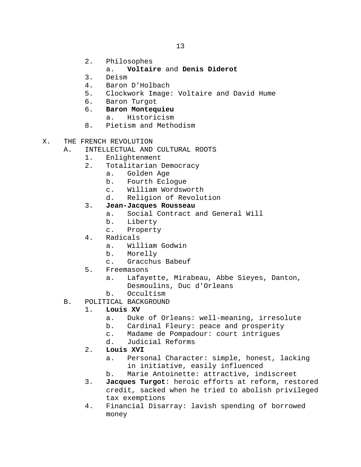- 2. Philosophes
	- a. **Voltaire** and **Denis Diderot**
- 3. Deism
- 4. Baron D'Holbach<br>5. Clockwork Image
- 5. Clockwork Image: Voltaire and David Hume
- 6. Baron Turgot
- 6. **Baron Montequieu**
	- a. Historicism
- 8. Pietism and Methodism
- X. THE FRENCH REVOLUTION
	- A. INTELLECTUAL AND CULTURAL ROOTS
		- 1. Enlightenment<br>2. Totalitarian I
		- Totalitarian Democracy
			- a. Golden Age<br>b. Fourth Ecle
			- b. Fourth Eclogue<br>c. William Wordsw
			- c. William Wordsworth
			- Religion of Revolution

#### 3. **Jean-Jacques Rousseau**

- a. Social Contract and General Will<br>b. Liberty
- 
- b. Liberty<br>c. Property Property
- 4. Radicals
	- a. William Godwin<br>b. Morelly
	- b. Morelly<br>c. Gracchus
		- Gracchus Babeuf
- 5. Freemasons
	- a. Lafayette, Mirabeau, Abbe Sieyes, Danton, Desmoulins, Duc d'Orleans
	- b. Occultism
- B. POLITICAL BACKGROUND<br>1. Iouis XV
	- 1. **Louis XV**
		- a. Duke of Orleans: well-meaning, irresolute<br>b. Cardinal Fleury: peace and prosperity
		- b. Cardinal Fleury: peace and prosperity<br>c. Madame de Pompadour: court intriques
		- c. Madame de Pompadour: court intrigues<br>d. Judicial Reforms
		- d. Judicial Reforms
		- 2. **Louis XVI**
			- a. Personal Character: simple, honest, lacking in initiative, easily influenced
			- b. Marie Antoinette: attractive, indiscreet
		- 3. **Jacques Turgot**: heroic efforts at reform, restored credit, sacked when he tried to abolish privileged tax exemptions
		- 4. Financial Disarray: lavish spending of borrowed money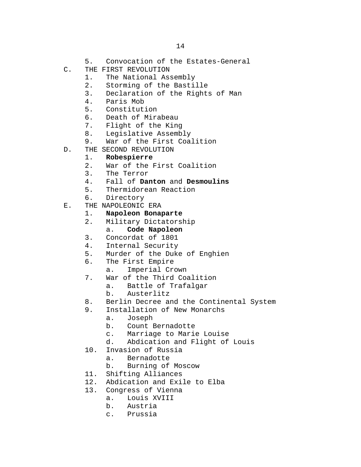- 5. Convocation of the Estates-General
- C. THE FIRST REVOLUTION<br>1. The National As:
	- 1. The National Assembly<br>2. Storming of the Basti
	- 2. Storming of the Bastille<br>3. Declaration of the Right
	- 3. Declaration of the Rights of Man<br>4. Paris Mob
	- 4. Paris Mob
	- 5. Constitution<br>6. Death of Mira
	- 6. Death of Mirabeau<br>7. Flight of the King
	-
	- 7. Flight of the King<br>8. Leqislative Assemb
	- 8. Legislative Assembly<br>9. War of the First Coal War of the First Coalition
- D. THE SECOND REVOLUTION
	- 1. **Robespierre**
	- War of the First Coalition
	- 3. The Terror<br>4. Fall of **Da**
	- 4. Fall of **Danton** and **Desmoulins**
	- 5. Thermidorean Reaction<br>6. Directory
	- Directory
- E. THE NAPOLEONIC ERA<br>1. **Napoleon Bona** 
	- 1. **Napoleon Bonaparte**
	- Military Dictatorship<br>a. Code Napoleon
		- a. **Code Napoleon**
	- 3. Concordat of 1801
	- 4. Internal Security<br>5. Murder of the Duke
	- 5. Murder of the Duke of Enghien<br>6. The First Empire
	- The First Empire<br>a. Imperial Cr
		- Imperial Crown
	- 7. War of the Third Coalition<br>a. Battle of Trafalgar
		- a. Battle of Trafalgar<br>b. Austerlitz
		- Austerlitz
	- 8. Berlin Decree and the Continental System<br>9. Installation of New Monarchs
		- Installation of New Monarchs<br>a. Joseph
			- a. Joseph
			- b. Count Bernadotte<br>c. Marriage to Mario
			- c. Marriage to Marie Louise
			- Abdication and Flight of Louis
	- 10. Invasion of Russia
		- a. Bernadotte
		- b. Burning of Moscow
	- 11. Shifting Alliances<br>12. Abdication and Exi
	- 12. Abdication and Exile to Elba<br>13. Congress of Vienna
	- Congress of Vienna<br>a. Louis XVIII
		- a. Louis XVIII<br>b. Austria
		- b. Austria
		- c. Prussia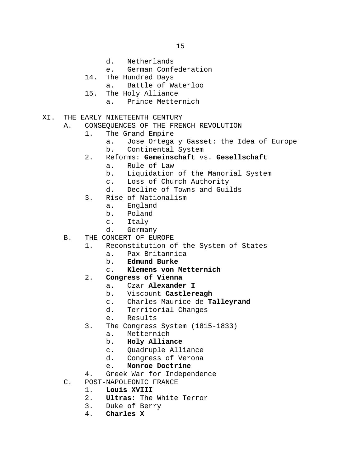- d. Netherlands
- e. German Confederation
- 14. The Hundred Days
	- a. Battle of Waterloo
- 15. The Holy Alliance
	- a. Prince Metternich
- XI. THE EARLY NINETEENTH CENTURY
	- A. CONSEQUENCES OF THE FRENCH REVOLUTION<br>1. The Grand Empire
		- The Grand Empire
			- a. Jose Ortega y Gasset: the Idea of Europe<br>b. Continental System Continental System
			-
		- 2. Reforms: **Gemeinschaft** vs. **Gesellschaft**
			- a. Rule of Law
			- b. Liquidation of the Manorial System
			- c. Loss of Church Authority<br>d. Decline of Towns and Gui
			- Decline of Towns and Guilds
		- 3. Rise of Nationalism
			- a. England<br>b. Poland
			- b. Poland<br>c. Italy
			- c. Italy<br>d. German
			- Germany
	- B. THE CONCERT OF EUROPE
		- 1. Reconstitution of the System of States<br>a. Pax Britannica
			- a. Pax Britannica<br>b. **Edmund Burke**
			- b. **Edmund Burke**
			- c. **Klemens von Metternich**
		- 2. **Congress of Vienna**
			- a. Czar **Alexander I**
			- b. Viscount **Castlereagh**
			- Charles Maurice de **Talleyrand**
			- d. Territorial Changes
			- Results
		- 3. The Congress System (1815-1833)<br>a. Metternich
			- a. Metternich<br>b. **Holy Allia**
			- b. **Holy Alliance**
			- Quadruple Alliance
			- d. Congress of Verona
			- e. **Monroe Doctrine**
		- 4. Greek War for Independence
	- C. POST-NAPOLEONIC FRANCE<br>1. Louis XVIII
		- 1. **Louis XVIII**
		- 2. **Ultras**: The White Terror
		- 3. Duke of Berry<br>4. **Charles X**
		- 4. **Charles X**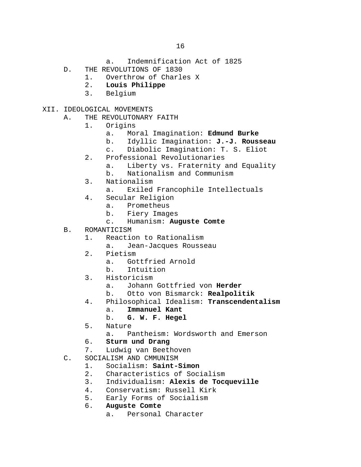- a. Indemnification Act of 1825
- D. THE REVOLUTIONS OF 1830<br>1. Overthrow of Charl
	- 1. Overthrow of Charles X<br>2. Louis Philippe
	- 2. **Louis Philippe**
	- 3. Belgium
- XII. IDEOLOGICAL MOVEMENTS<br>A. THE REVOLUTONARY
	- THE REVOLUTONARY FAITH<br>1. Origins
		- Origins<br>a. Mo:
			- a. Moral Imagination: **Edmund Burke**
			- b. Idyllic Imagination: **J.-J. Rousseau**
			- Diabolic Imagination: T. S. Eliot
		- 2. Professional Revolutionaries
			- a. Liberty vs. Fraternity and Equality
			- b. Nationalism and Communism
		- 3. Nationalism
			- a. Exiled Francophile Intellectuals
		- 4. Secular Religion
			- a. Prometheus<br>b. Fierv-Imag
			- b. Fiery Images<br>c. Humanism: Au
			- c. Humanism: **Auguste Comte**
	- B. ROMANTICISM
		- 1. Reaction to Rationalism
			- a. Jean-Jacques Rousseau
		- 2. Pietism<br>a. Gol
			- a. Gottfried Arnold<br>b. Intuition
			- b. Intuition
		- 3. Historicism<br>a. Johann
			- a. Johann Gottfried von **Herder**
			- b. Otto von Bismarck: **Realpolitik**
		- 4. Philosophical Idealism: **Transcendentalism**
			-
			- a. **Immanuel Kant** b. **G. W. F. Hegel**
		- 5. Nature<br>a. Pa
			- Pantheism: Wordsworth and Emerson
		- 6. **Sturm und Drang**
		- Ludwig van Beethoven
	- C. SOCIALISM AND CMMUNISM<br>1. Socialism: Saint-8
		- 1. Socialism: **Saint-Simon**
		- 2. Characteristics of Socialism<br>3. Individualism: Alexis de Toco
		- 3. Individualism: **Alexis de Tocqueville**
		- 4. Conservatism: Russell Kirk<br>5. Early Forms of Socialism
		- 5. Early Forms of Socialism<br>6. Auguste Comte
		- 6. **Auguste Comte**
			- a. Personal Character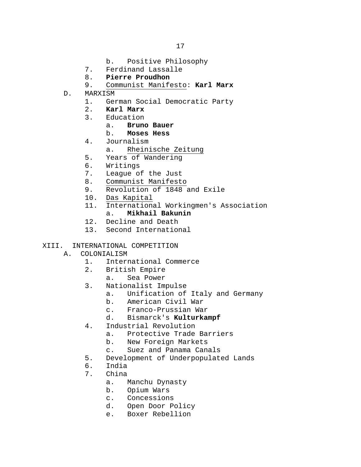- b. Positive Philosophy
- 7. Ferdinand Lassalle<br>8. **Pierre Proudhon**
- 8. **Pierre Proudhon**
- 9. Communist Manifesto: **Karl Marx**
- D. MARXISM
	- 1. German Social Democratic Party<br>2. **Karl Marx**
	- 2. **Karl Marx**
	- Education<br>a. **Brunc** 
		- a. **Bruno Bauer**
		- b. **Moses Hess**
	- 4. Journalism
		- a. Rheinische Zeitung
	- 5. Years of Wandering
	- 6. Writings
	- 7. League of the Just
	- 8. Communist Manifesto<br>9. Revolution of 1848
	- Revolution of 1848 and Exile
	- 10. Das Kapital<br>11. Internation
	- International Workingmen's Association<br>a. **Mikhail Bakunin** a. **Mikhail Bakunin**
		-
	- 12. Decline and Death
	- 13. Second International
- XIII. INTERNATIONAL COMPETITION
	- A. COLONIALISM<br>1. Intern
		- 1. International Commerce<br>2. British Empire
		- British Empire
			- a. Sea Power
		- 3. Nationalist Impulse
			- a. Unification of Italy and Germany<br>b. American Civil War
			- b. American Civil War
			- c. Franco-Prussian War<br>d. Bismarck's **Kulturka**
			- d. Bismarck's **Kulturkampf**
		- 4. Industrial Revolution<br>a. Protective Trade
			- a. Protective Trade Barriers<br>b. New Foreign Markets
			- b. New Foreign Markets<br>c. Suez and Panama Can
			- Suez and Panama Canals
		- 5. Development of Underpopulated Lands
		- 6. India<br>7. China
		- China<br>a. I
			- a. Manchu Dynasty<br>b. Opium Wars
			- b. Opium Wars<br>c. Concession
			- c. Concessions<br>d. Open Door P
			- Open Door Policy
			- e. Boxer Rebellion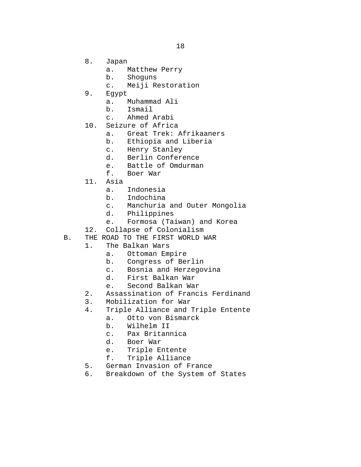- 8. Japan
	- a. Matthew Perry<br>b. Shoguns
	- Shoquns
	- c. Meiji Restoration
- 9. Egypt
	- a. Muhammad Ali
	- b. Ismail<br>c. Ahmed
	- Ahmed Arabi
- 10. Seizure of Africa<br>a. Great Trek:
	- Great Trek: Afrikaaners
	- b. Ethiopia and Liberia<br>c. Henry Stanley
	- c. Henry Stanley<br>d. Berlin Confere
	- Berlin Conference
	- e. Battle of Omdurman<br>f. Boer War
	- Boer War
- 11. Asia
	- a. Indonesia<br>b. Indochina
	- b. Indochina<br>c. Manchuria
	- c. Manchuria and Outer Mongolia
	- d. Philippines<br>e. Formosa (Ta
	- Formosa (Taiwan) and Korea
- 12. Collapse of Colonialism
- B. THE ROAD TO THE FIRST WORLD WAR
	- 1. The Balkan Wars
		- a. Ottoman Empire<br>b. Congress of Be
		- b. Congress of Berlin
		- c. Bosnia and Herzegovina<br>d. First Balkan War
		- d. First Balkan War<br>e. Second Balkan Wa
		- Second Balkan War
	- 2. Assassination of Francis Ferdinand<br>3. Mobilization for War
	- 3. Mobilization for War<br>4. Triple Alliance and
	- Triple Alliance and Triple Entente<br>a. Otto von Bismarck
		- a. Otto von Bismarck<br>b. Wilhelm II
		- b. Wilhelm II<br>c. Pax Britan
		- c. Pax Britannica
		- d. Boer War<br>e. Triple E
		- e. Triple Entente<br>f. Triple Alliance
		- Triple Alliance
	- 5. German Invasion of France<br>6. Breakdown of the System o
	- Breakdown of the System of States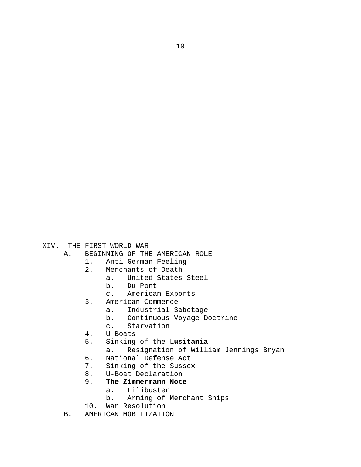- XIV. THE FIRST WORLD WAR<br>A. BEGINNING OF THI
	- BEGINNING OF THE AMERICAN ROLE<br>1. Anti-German Feeling
		- -
			-
			- 1. Anti-German Feeling<br>2. Merchants of Death
			- - Merchants of Death<br>a. United States a. United States Steel<br>b. Du Pont
					-
					- b. Du Pont<br>c. American
					- American Exports
			- 3. American Commerce<br>a. Industrial Sa
				-
				- a. Industrial Sabotage<br>b. Continuous Voyage D b. Continuous Voyage Doctrine<br>c. Starvation
				- Starvation
			- 4. U-Boats
			- Sinking of the **Lusitania**<br>a. Resignation of Will:
				- Resignation of William Jennings Bryan
			-
			- 6. National Defense Act<br>7. Sinking of the Susse:
			- 7. Sinking of the Sussex<br>8. U-Boat Declaration
			- 8. U-Boat Declaration<br>9. The Zimmermann Note 9. **The Zimmermann Note**
				-
				- a. Filibuster<br>b. Arming of I Arming of Merchant Ships
			- 10. War Resolution
	- B. AMERICAN MOBILIZATION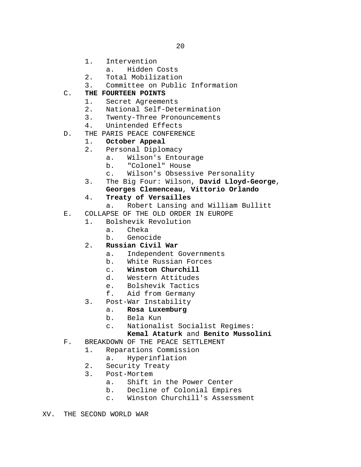- 1. Intervention
	- a. Hidden Costs
- 2. Total Mobilization
- 3. Committee on Public Information

## C. **THE FOURTEEN POINTS**

- 1. Secret Agreements
- 2. National Self-Determination<br>3. Twenty-Three Pronouncements
- 3. Twenty-Three Pronouncements<br>4. Unintended Effects
- Unintended Effects
- D. THE PARIS PEACE CONFERENCE

# 1. **October Appeal**

- 2. Personal Diplomacy
	- a. Wilson's Entourage
	- b. "Colonel" House
	-
- c. Wilson's Obsessive Personality<br>3. The Big Four: Wilson, David Lloyd-G 3. The Big Four: Wilson, **David Lloyd-George**, **Georges Clemenceau**, **Vittorio Orlando**

## 4. **Treaty of Versailles**

- a. Robert Lansing and William Bullitt
- E. COLLAPSE OF THE OLD ORDER IN EUROPE<br>1. Bolshevik Revolution

# Bolshevik Revolution<br>a. Cheka

- Cheka
- b. Genocide
- 2. **Russian Civil War**
	- a. Independent Governments<br>b. White Russian Forces
	- b. White Russian Forces<br>c. Winston Churchill
	- c. **Winston Churchill**
	-
	- d. Western Attitudes<br>e. Bolshevik Tactics
	- e. Bolshevik Tactics<br>f. Aid from Germany Aid from Germany
- 3. Post-War Instability<br>a. Rosa Luxemburg
	- a. **Rosa Luxemburg**
		- b. Bela Kun<br>c. National
		- Nationalist Socialist Regimes:

### **Kemal Ataturk** and **Benito Mussolini**

- F. BREAKDOWN OF THE PEACE SETTLEMENT
	- 1. Reparations Commission
		- a. Hyperinflation
	- 2. Security Treaty<br>3. Post-Mortem
	- Post-Mortem<br>a. Shift
		- a. Shift in the Power Center<br>b. Decline of Colonial Empir
		- b. Decline of Colonial Empires<br>c. Winston Churchill's Assessm
		- Winston Churchill's Assessment
- XV. THE SECOND WORLD WAR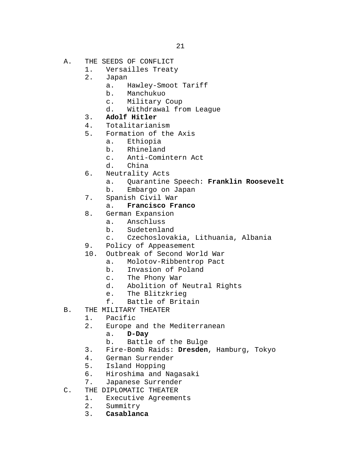- A. THE SEEDS OF CONFLICT<br>1. Versailles Treat
	- 1. Versailles Treaty<br>2. Japan
	- 2. Japan
		- a. Hawley-Smoot Tariff<br>b. Manchukuo
		- b. Manchukuo
		- c. Military Coup
		- d. Withdrawal from League
	- 3. **Adolf Hitler**
	-
	- 4. Totalitarianism<br>5. Formation of the 5. Formation of the Axis
		- a. Ethiopia<br>b. Rhineland
		- Rhineland
		- c. Anti-Comintern Act
		- China
	- 6. Neutrality Acts
		- a. Quarantine Speech: **Franklin Roosevelt**
		- b. Embargo on Japan
	- 7. Spanish Civil War

#### a. **Francisco Franco**

- 8. German Expansion<br>a. Anschluss
	- a. Anschluss<br>b. Sudetenla
	- Sudetenland
	- c. Czechoslovakia, Lithuania, Albania
- 9. Policy of Appeasement<br>10. Outbreak of Second Wo
- Outbreak of Second World War<br>a. Molotov-Ribbentrop Pact
	- a. Molotov-Ribbentrop Pact<br>b. Invasion of Poland
	- b. Invasion of Poland
	- c. The Phony War<br>d. Abolition of
	- Abolition of Neutral Rights
	- e. The Blitzkrieg<br>f. Battle of Brita
	- Battle of Britain
- B. THE MILITARY THEATER<br>1. Pacific
	- 1. Pacific<br>2. Europe
		- Europe and the Mediterranean<br>a. D-Day
			- a. **D-Day**
			-
		- b. Battle of the Bulge<br>3. Fire-Bomb Raids: Dresden 3. Fire-Bomb Raids: **Dresden**, Hamburg, Tokyo
		- 4. German Surrender
		- 5. Island Hopping
		- 6. Hiroshima and Nagasaki<br>7. Japanese Surrender
- 7. Japanese Surrender<br>C. THE DIPLOMATIC THEATER
- THE DIPLOMATIC THEATER<br>1. Executive Agreemer
	- 1. Executive Agreements<br>2. Summitry
	- 2. Summitry<br>3. **Casablan**
	- 3. **Casablanca**